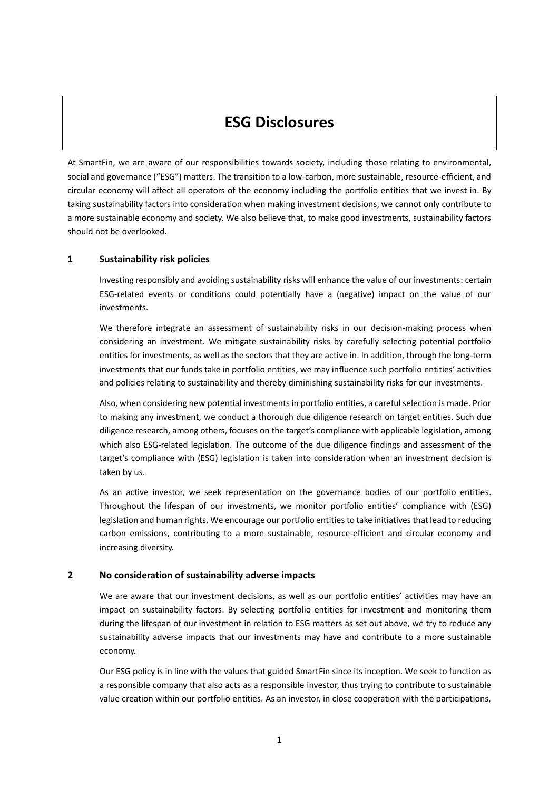## **ESG Disclosures**

At SmartFin, we are aware of our responsibilities towards society, including those relating to environmental, social and governance ("ESG") matters. The transition to a low-carbon, more sustainable, resource-efficient, and circular economy will affect all operators of the economy including the portfolio entities that we invest in. By taking sustainability factors into consideration when making investment decisions, we cannot only contribute to a more sustainable economy and society. We also believe that, to make good investments, sustainability factors should not be overlooked.

## **1 Sustainability risk policies**

Investing responsibly and avoiding sustainability risks will enhance the value of our investments: certain ESG-related events or conditions could potentially have a (negative) impact on the value of our investments.

We therefore integrate an assessment of sustainability risks in our decision-making process when considering an investment. We mitigate sustainability risks by carefully selecting potential portfolio entities for investments, as well as the sectors that they are active in. In addition, through the long-term investments that our funds take in portfolio entities, we may influence such portfolio entities' activities and policies relating to sustainability and thereby diminishing sustainability risks for our investments.

Also, when considering new potential investments in portfolio entities, a careful selection is made. Prior to making any investment, we conduct a thorough due diligence research on target entities. Such due diligence research, among others, focuses on the target's compliance with applicable legislation, among which also ESG-related legislation. The outcome of the due diligence findings and assessment of the target's compliance with (ESG) legislation is taken into consideration when an investment decision is taken by us.

As an active investor, we seek representation on the governance bodies of our portfolio entities. Throughout the lifespan of our investments, we monitor portfolio entities' compliance with (ESG) legislation and human rights. We encourage our portfolio entities to take initiatives that lead to reducing carbon emissions, contributing to a more sustainable, resource-efficient and circular economy and increasing diversity.

## **2 No consideration of sustainability adverse impacts**

We are aware that our investment decisions, as well as our portfolio entities' activities may have an impact on sustainability factors. By selecting portfolio entities for investment and monitoring them during the lifespan of our investment in relation to ESG matters as set out above, we try to reduce any sustainability adverse impacts that our investments may have and contribute to a more sustainable economy.

Our ESG policy is in line with the values that guided SmartFin since its inception. We seek to function as a responsible company that also acts as a responsible investor, thus trying to contribute to sustainable value creation within our portfolio entities. As an investor, in close cooperation with the participations,